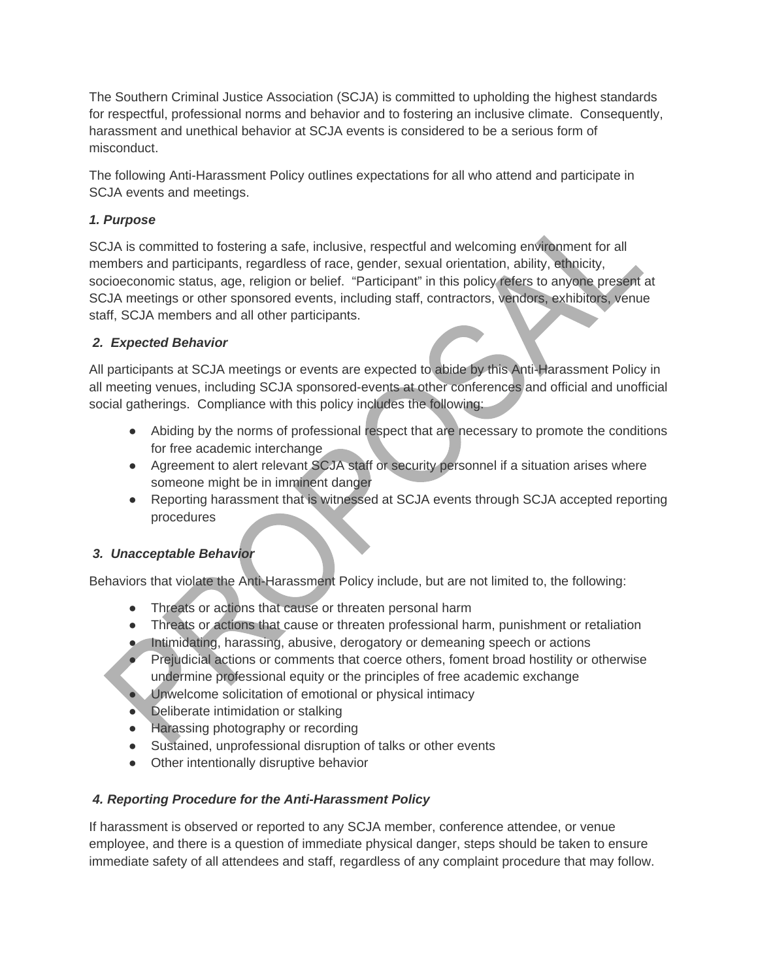The Southern Criminal Justice Association (SCJA) is committed to upholding the highest standards for respectful, professional norms and behavior and to fostering an inclusive climate. Consequently, harassment and unethical behavior at SCJA events is considered to be a serious form of misconduct.

The following Anti-Harassment Policy outlines expectations for all who attend and participate in SCJA events and meetings.

## *1. Purpose*

SCJA is committed to fostering a safe, inclusive, respectful and welcoming environment for all members and participants, regardless of race, gender, sexual orientation, ability, ethnicity, socioeconomic status, age, religion or belief. "Participant" in this policy refers to anyone present at SCJA meetings or other sponsored events, including staff, contractors, vendors, exhibitors, venue staff, SCJA members and all other participants.

## *2. Expected Behavior*

All participants at SCJA meetings or events are expected to abide by this Anti-Harassment Policy in all meeting venues, including SCJA sponsored-events at other conferences and official and unofficial social gatherings. Compliance with this policy includes the following:

- Abiding by the norms of professional respect that are necessary to promote the conditions for free academic interchange
- Agreement to alert relevant SCJA staff or security personnel if a situation arises where someone might be in imminent danger
- Reporting harassment that is witnessed at SCJA events through SCJA accepted reporting procedures

## *3. Unacceptable Behavior*

Behaviors that violate the Anti-Harassment Policy include, but are not limited to, the following:

- Threats or actions that cause or threaten personal harm
- Threats or actions that cause or threaten professional harm, punishment or retaliation
- Intimidating, harassing, abusive, derogatory or demeaning speech or actions
- Prejudicial actions or comments that coerce others, foment broad hostility or otherwise undermine professional equity or the principles of free academic exchange
- Unwelcome solicitation of emotional or physical intimacy
- Deliberate intimidation or stalking
- Harassing photography or recording
- Sustained, unprofessional disruption of talks or other events
- Other intentionally disruptive behavior

## *4. Reporting Procedure for the Anti-Harassment Policy*

If harassment is observed or reported to any SCJA member, conference attendee, or venue employee, and there is a question of immediate physical danger, steps should be taken to ensure immediate safety of all attendees and staff, regardless of any complaint procedure that may follow.